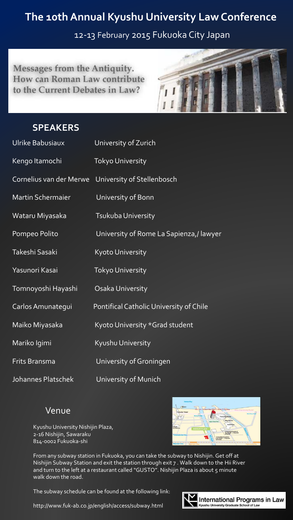## **The 10th Annual Kyushu University Law Conference**

12-13 February 2015 Fukuoka City Japan

Messages from the Antiquity. How can Roman Law contribute to the Current Debates in Law?



## **SPEAKERS**

| Ulrike Babusiaux         | University of Zurich                    |
|--------------------------|-----------------------------------------|
| Kengo Itamochi           | <b>Tokyo University</b>                 |
| Cornelius van der Merwe  | University of Stellenbosch              |
| <b>Martin Schermaier</b> | University of Bonn                      |
| Wataru Miyasaka          | Tsukuba University                      |
| Pompeo Polito            | University of Rome La Sapienza,/ lawyer |
| Takeshi Sasaki           | <b>Kyoto University</b>                 |
| Yasunori Kasai           | <b>Tokyo University</b>                 |
| Tomnoyoshi Hayashi       | Osaka University                        |
| Carlos Amunategui        | Pontifical Catholic University of Chile |
| Maiko Miyasaka           | Kyoto University *Grad student          |
| Mariko Igimi             | Kyushu University                       |
| Frits Bransma            | University of Groningen                 |
| Johannes Platschek       | University of Munich                    |

## Venue

Kyushu University Nishijin Plaza, 2-16 Nishijin, Sawaraku 814-0002 Fukuoka-shi



From any subway station in Fukuoka, you can take the subway to Nishijin. Get off at Nishijin Subway Station and exit the station through exit 7 . Walk down to the Hii River and turn to the left at a restaurant called "GUSTO". Nishijin Plaza is about 5 minute walk down the road.

The subway schedule can be found at the following link:



http://www.fuk-ab.co.jp/english/access/subway.html